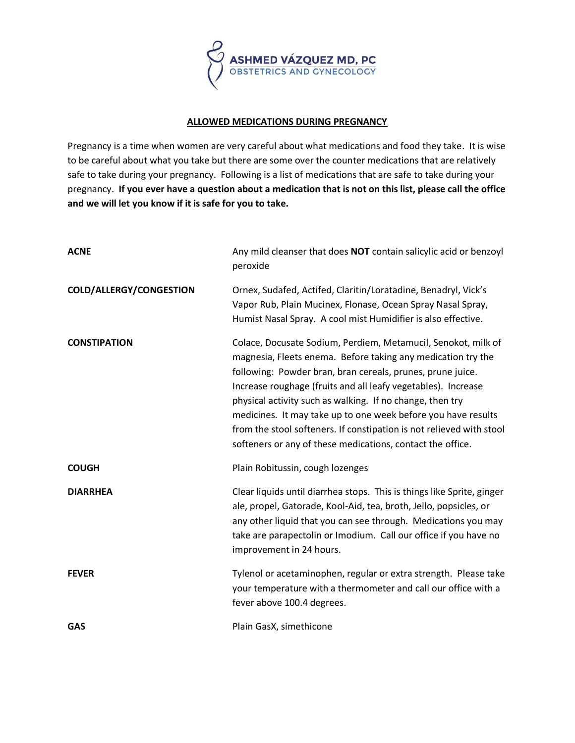

## **ALLOWED MEDICATIONS DURING PREGNANCY**

Pregnancy is a time when women are very careful about what medications and food they take. It is wise to be careful about what you take but there are some over the counter medications that are relatively safe to take during your pregnancy. Following is a list of medications that are safe to take during your pregnancy. **If you ever have a question about a medication that is not on this list, please call the office and we will let you know if it is safe for you to take.**

| <b>ACNE</b>                    | Any mild cleanser that does NOT contain salicylic acid or benzoyl<br>peroxide                                                                                                                                                                                                                                                                                                                                                                                                                                                    |
|--------------------------------|----------------------------------------------------------------------------------------------------------------------------------------------------------------------------------------------------------------------------------------------------------------------------------------------------------------------------------------------------------------------------------------------------------------------------------------------------------------------------------------------------------------------------------|
| <b>COLD/ALLERGY/CONGESTION</b> | Ornex, Sudafed, Actifed, Claritin/Loratadine, Benadryl, Vick's<br>Vapor Rub, Plain Mucinex, Flonase, Ocean Spray Nasal Spray,<br>Humist Nasal Spray. A cool mist Humidifier is also effective.                                                                                                                                                                                                                                                                                                                                   |
| <b>CONSTIPATION</b>            | Colace, Docusate Sodium, Perdiem, Metamucil, Senokot, milk of<br>magnesia, Fleets enema. Before taking any medication try the<br>following: Powder bran, bran cereals, prunes, prune juice.<br>Increase roughage (fruits and all leafy vegetables). Increase<br>physical activity such as walking. If no change, then try<br>medicines. It may take up to one week before you have results<br>from the stool softeners. If constipation is not relieved with stool<br>softeners or any of these medications, contact the office. |
| <b>COUGH</b>                   | Plain Robitussin, cough lozenges                                                                                                                                                                                                                                                                                                                                                                                                                                                                                                 |
| <b>DIARRHEA</b>                | Clear liquids until diarrhea stops. This is things like Sprite, ginger<br>ale, propel, Gatorade, Kool-Aid, tea, broth, Jello, popsicles, or<br>any other liquid that you can see through. Medications you may<br>take are parapectolin or Imodium. Call our office if you have no<br>improvement in 24 hours.                                                                                                                                                                                                                    |
| <b>FEVER</b>                   | Tylenol or acetaminophen, regular or extra strength. Please take<br>your temperature with a thermometer and call our office with a<br>fever above 100.4 degrees.                                                                                                                                                                                                                                                                                                                                                                 |
| <b>GAS</b>                     | Plain GasX, simethicone                                                                                                                                                                                                                                                                                                                                                                                                                                                                                                          |